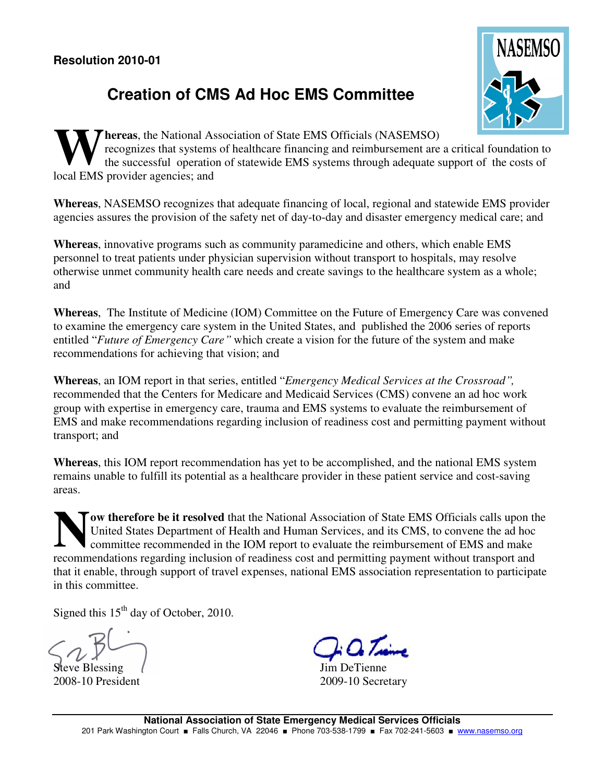## **Creation of CMS Ad Hoc EMS Committee**



**hereas**, the National Association of State EMS Officials (NASEMSO) recognizes that systems of healthcare financing and reimbursement are a critical foundation to the successful operation of statewide EMS systems through adequate support of the costs of **W** recognizes that systems<br>the successful operation<br>local EMS provider agencies; and

**Whereas**, NASEMSO recognizes that adequate financing of local, regional and statewide EMS provider agencies assures the provision of the safety net of day-to-day and disaster emergency medical care; and

**Whereas**, innovative programs such as community paramedicine and others, which enable EMS personnel to treat patients under physician supervision without transport to hospitals, may resolve otherwise unmet community health care needs and create savings to the healthcare system as a whole; and

**Whereas**, The Institute of Medicine (IOM) Committee on the Future of Emergency Care was convened to examine the emergency care system in the United States, and published the 2006 series of reports entitled "*Future of Emergency Care"* which create a vision for the future of the system and make recommendations for achieving that vision; and

**Whereas**, an IOM report in that series, entitled "*Emergency Medical Services at the Crossroad",*  recommended that the Centers for Medicare and Medicaid Services (CMS) convene an ad hoc work group with expertise in emergency care, trauma and EMS systems to evaluate the reimbursement of EMS and make recommendations regarding inclusion of readiness cost and permitting payment without transport; and

**Whereas**, this IOM report recommendation has yet to be accomplished, and the national EMS system remains unable to fulfill its potential as a healthcare provider in these patient service and cost-saving areas.

**ow therefore be it resolved** that the National Association of State EMS Officials calls upon the United States Department of Health and Human Services, and its CMS, to convene the ad hoc committee recommended in the IOM report to evaluate the reimbursement of EMS and make For the states Department of Health and Human Services, and its CMS, to convene the ad hoc committee recommended in the IOM report to evaluate the reimbursement of EMS and make recommendations regarding inclusion of readin that it enable, through support of travel expenses, national EMS association representation to participate in this committee.

Signed this  $15<sup>th</sup>$  day of October, 2010.

Steve Blessing 2008-10 President

Jim DeTienne 2009-10 Secretary